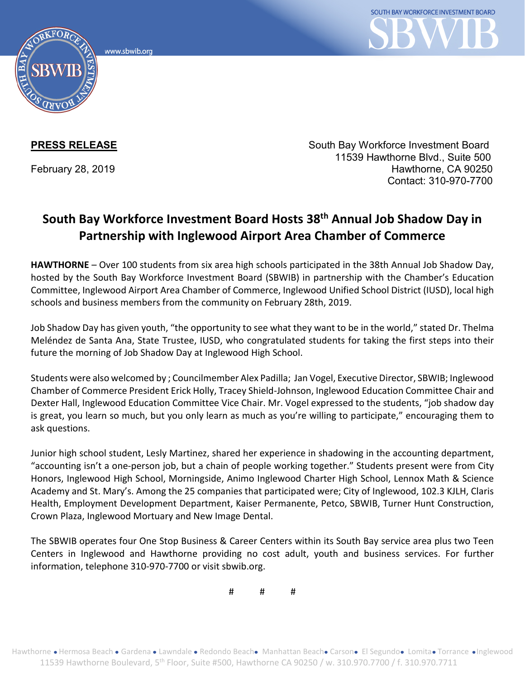www.sbwib.org



**PRESS RELEASE** South Bay Workforce Investment Board 11539 Hawthorne Blvd., Suite 500 February 28, 2019 **Hawthorne, CA 90250** Contact: 310-970-7700

## **South Bay Workforce Investment Board Hosts 38th Annual Job Shadow Day in Partnership with Inglewood Airport Area Chamber of Commerce**

**HAWTHORNE** – Over 100 students from six area high schools participated in the 38th Annual Job Shadow Day, hosted by the South Bay Workforce Investment Board (SBWIB) in partnership with the Chamber's Education Committee, Inglewood Airport Area Chamber of Commerce, Inglewood Unified School District (IUSD), local high schools and business members from the community on February 28th, 2019.

Job Shadow Day has given youth, "the opportunity to see what they want to be in the world," stated Dr. Thelma Meléndez de Santa Ana, State Trustee, IUSD, who congratulated students for taking the first steps into their future the morning of Job Shadow Day at Inglewood High School.

Students were also welcomed by ; Councilmember Alex Padilla; Jan Vogel, Executive Director, SBWIB; Inglewood Chamber of Commerce President Erick Holly, Tracey Shield-Johnson, Inglewood Education Committee Chair and Dexter Hall, Inglewood Education Committee Vice Chair. Mr. Vogel expressed to the students, "job shadow day is great, you learn so much, but you only learn as much as you're willing to participate," encouraging them to ask questions.

Junior high school student, Lesly Martinez, shared her experience in shadowing in the accounting department, "accounting isn't a one-person job, but a chain of people working together." Students present were from City Honors, Inglewood High School, Morningside, Animo Inglewood Charter High School, Lennox Math & Science Academy and St. Mary's. Among the 25 companies that participated were; City of Inglewood, 102.3 KJLH, Claris Health, Employment Development Department, Kaiser Permanente, Petco, SBWIB, Turner Hunt Construction, Crown Plaza, Inglewood Mortuary and New Image Dental.

The SBWIB operates four One Stop Business & Career Centers within its South Bay service area plus two Teen Centers in Inglewood and Hawthorne providing no cost adult, youth and business services. For further information, telephone 310-970-7700 or visit sbwib.org.

# # #